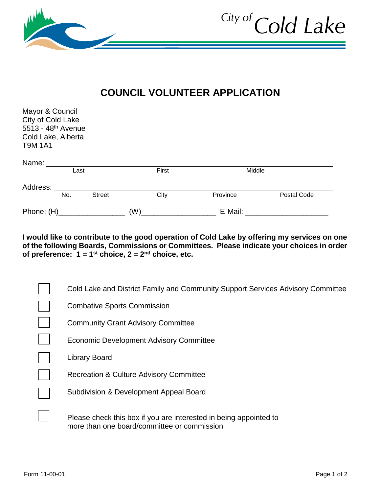

## **COUNCIL VOLUNTEER APPLICATION**

| Mayor & Council<br>City of Cold Lake<br>5513 - 48 <sup>th</sup> Avenue<br>Cold Lake, Alberta<br><b>T9M 1A1</b> |      |               |         |          |             |
|----------------------------------------------------------------------------------------------------------------|------|---------------|---------|----------|-------------|
| Name:                                                                                                          |      |               |         |          |             |
|                                                                                                                | Last |               | First   | Middle   |             |
| Address:                                                                                                       |      |               |         |          |             |
|                                                                                                                | No.  | <b>Street</b> | City    | Province | Postal Code |
| Phone: (H)                                                                                                     |      | (W)           | E-Mail: |          |             |

**I would like to contribute to the good operation of Cold Lake by offering my services on one of the following Boards, Commissions or Committees. Please indicate your choices in order of preference: 1 = 1st choice, 2 = 2nd choice, etc.**

| Cold Lake and District Family and Community Support Services Advisory Committee                                  |
|------------------------------------------------------------------------------------------------------------------|
| <b>Combative Sports Commission</b>                                                                               |
| <b>Community Grant Advisory Committee</b>                                                                        |
| <b>Economic Development Advisory Committee</b>                                                                   |
| <b>Library Board</b>                                                                                             |
| <b>Recreation &amp; Culture Advisory Committee</b>                                                               |
| Subdivision & Development Appeal Board                                                                           |
| Please check this box if you are interested in being appointed to<br>more than one board/committee or commission |